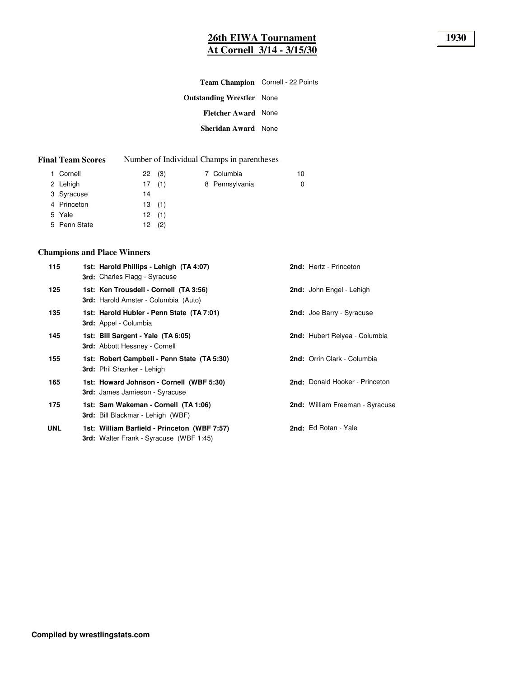# **26th EIWA Tournament 1930 At Cornell 3/14 - 3/15/30**

| Team Champion Cornell - 22 Points |  |
|-----------------------------------|--|
| <b>Outstanding Wrestler</b> None  |  |
| <b>Fletcher Award None</b>        |  |
| <b>Sheridan Award</b> None        |  |
|                                   |  |

| <b>Final Team Scores</b> |  | Number of Individual Champs in parentheses |
|--------------------------|--|--------------------------------------------|
|--------------------------|--|--------------------------------------------|

| 1 Cornell    | 22(3) |  | 7 Columbia     | 10 |
|--------------|-------|--|----------------|----|
| 2 Lehigh     | 17(1) |  | 8 Pennsylvania | 0  |
| 3 Syracuse   | 14    |  |                |    |
| 4 Princeton  | 13(1) |  |                |    |
| 5 Yale       | 12(1) |  |                |    |
| 5 Penn State | 12(2) |  |                |    |

## **Champions and Place Winners**

| 115        | 1st: Harold Phillips - Lehigh (TA 4:07)<br>3rd: Charles Flagg - Syracuse                       | 2nd: Hertz - Princeton          |
|------------|------------------------------------------------------------------------------------------------|---------------------------------|
| 125        | 1st: Ken Trousdell - Cornell (TA 3:56)<br><b>3rd:</b> Harold Amster - Columbia (Auto)          | 2nd: John Engel - Lehigh        |
| 135        | 1st: Harold Hubler - Penn State (TA 7:01)<br><b>3rd:</b> Appel - Columbia                      | 2nd: Joe Barry - Syracuse       |
| 145        | 1st: Bill Sargent - Yale (TA 6:05)<br><b>3rd: Abbott Hessney - Cornell</b>                     | 2nd: Hubert Relyea - Columbia   |
| 155        | 1st: Robert Campbell - Penn State (TA 5:30)<br><b>3rd:</b> Phil Shanker - Lehigh               | 2nd: Orrin Clark - Columbia     |
| 165        | 1st: Howard Johnson - Cornell (WBF 5:30)<br>3rd: James Jamieson - Syracuse                     | 2nd: Donald Hooker - Princeton  |
| 175        | 1st: Sam Wakeman - Cornell (TA 1:06)<br><b>3rd:</b> Bill Blackmar - Lehigh (WBF)               | 2nd: William Freeman - Syracuse |
| <b>UNL</b> | 1st: William Barfield - Princeton (WBF 7:57)<br><b>3rd:</b> Walter Frank - Syracuse (WBF 1:45) | 2nd: Ed Rotan - Yale            |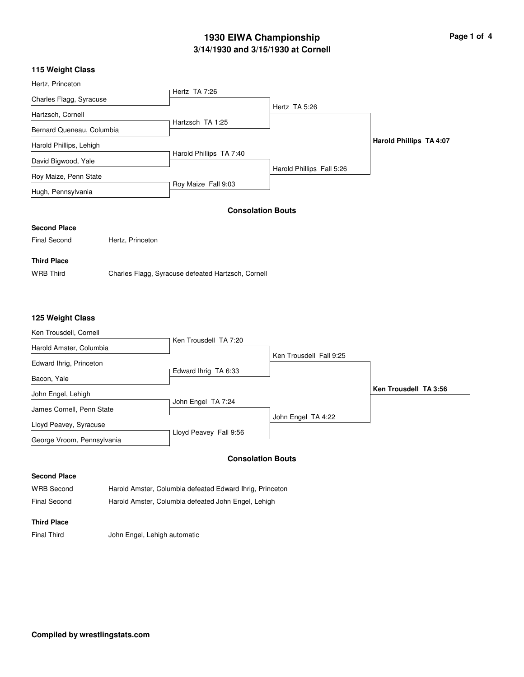# **3/14/1930 and 3/15/1930 at Cornell 1930 EIWA Championship Page 1 of 4**

### **115 Weight Class**

| Hertz, Princeton          |                         |                           |                         |
|---------------------------|-------------------------|---------------------------|-------------------------|
|                           | Hertz TA 7:26           |                           |                         |
| Charles Flagg, Syracuse   |                         |                           |                         |
|                           |                         | Hertz TA 5:26             |                         |
| Hartzsch, Cornell         |                         |                           |                         |
| Bernard Queneau, Columbia | Hartzsch TA 1:25        |                           |                         |
| Harold Phillips, Lehigh   |                         |                           | Harold Phillips TA 4:07 |
| David Bigwood, Yale       | Harold Phillips TA 7:40 |                           |                         |
| Roy Maize, Penn State     |                         | Harold Phillips Fall 5:26 |                         |
| Hugh, Pennsylvania        | Roy Maize Fall 9:03     |                           |                         |

#### **Consolation Bouts**

#### **Second Place**

Final Second Hertz, Princeton

## **Third Place**

WRB Third Charles Flagg, Syracuse defeated Hartzsch, Cornell

### **125 Weight Class**

| Ken Trousdell TA 7:20  |                                            |                                               |
|------------------------|--------------------------------------------|-----------------------------------------------|
|                        |                                            |                                               |
|                        |                                            |                                               |
|                        |                                            |                                               |
|                        |                                            | Ken Trousdell TA 3:56                         |
|                        |                                            |                                               |
|                        |                                            |                                               |
| Lloyd Peavey Fall 9:56 |                                            |                                               |
|                        | Edward Ihrig TA 6:33<br>John Engel TA 7:24 | Ken Trousdell Fall 9:25<br>John Engel TA 4:22 |

### **Consolation Bouts**

### **Second Place**

| <b>WRB Second</b> | Harold Amster, Columbia defeated Edward Ihrig, Princeton |
|-------------------|----------------------------------------------------------|
| Final Second      | Harold Amster, Columbia defeated John Engel, Lehigh      |

### **Third Place**

Final Third John Engel, Lehigh automatic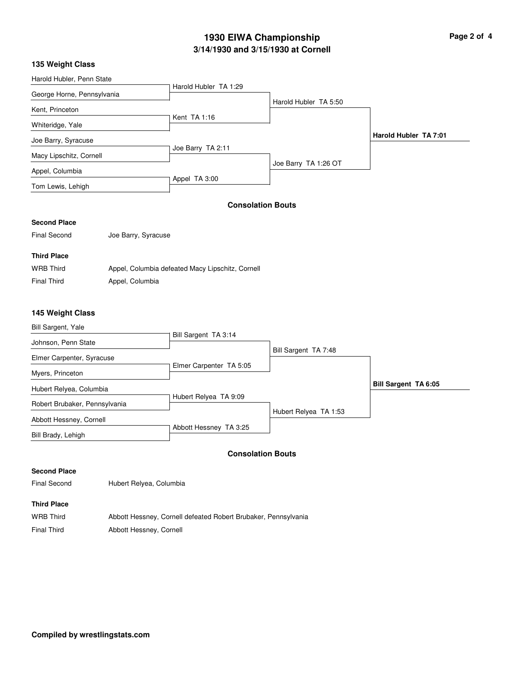# **3/14/1930 and 3/15/1930 at Cornell 1930 EIWA Championship**

| Page 2 of 4 |  |  |
|-------------|--|--|
|             |  |  |

### Harold Hubler, Penn State George Horne, Pennsylvania Kent, Princeton Whiteridge, Yale Joe Barry, Syracuse Macy Lipschitz, Cornell Appel, Columbia Tom Lewis, Lehigh Harold Hubler TA 1:29 Kent TA 1:16 Joe Barry TA 2:11 Appel TA 3:00 Harold Hubler TA 5:50 Joe Barry TA 1:26 OT **Harold Hubler TA 7:01 Consolation Bouts Second Place** Final Second Joe Barry, Syracuse **Third Place** WRB Third Appel, Columbia defeated Macy Lipschitz, Cornell Final Third **Appel**, Columbia Bill Sargent, Yale Johnson, Penn State Elmer Carpenter, Syracuse Myers, Princeton Hubert Relyea, Columbia Robert Brubaker, Pennsylvania Abbott Hessney, Cornell Bill Sargent TA 3:14 Elmer Carpenter TA 5:05 Hubert Relyea TA 9:09 Bill Sargent TA 7:48 Hubert Relyea TA 1:53 **Bill Sargent TA 6:05 145 Weight Class**

#### **Consolation Bouts**

Abbott Hessney TA 3:25

#### **Second Place**

Bill Brady, Lehigh

**135 Weight Class**

Final Second Hubert Relyea, Columbia

#### **Third Place**

WRB Third Abbott Hessney, Cornell defeated Robert Brubaker, Pennsylvania Final Third Abbott Hessney, Cornell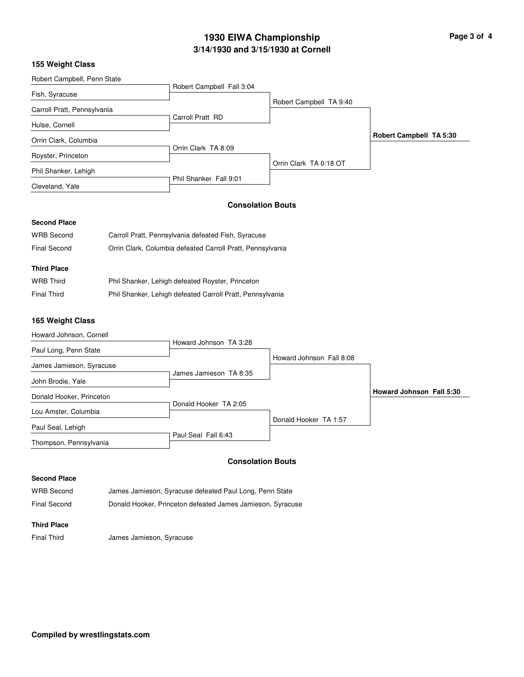# **3/14/1930 and 3/15/1930 at Cornell 1930 EIWA Championship Page 3 of 4**

### **155 Weight Class**

| Robert Campbell, Penn State |                           |                         |                         |
|-----------------------------|---------------------------|-------------------------|-------------------------|
|                             | Robert Campbell Fall 3:04 |                         |                         |
| Fish, Syracuse              |                           | Robert Campbell TA 9:40 |                         |
| Carroll Pratt, Pennsylvania |                           |                         |                         |
|                             | Carroll Pratt RD          |                         |                         |
| Hulse, Cornell              |                           |                         |                         |
| Orrin Clark, Columbia       |                           |                         | Robert Campbell TA 5:30 |
|                             | Orrin Clark TA 8:09       |                         |                         |
| Royster, Princeton          |                           |                         |                         |
| Phil Shanker, Lehigh        |                           | Orrin Clark TA 0:18 OT  |                         |
| Cleveland, Yale             | Phil Shanker Fall 9:01    |                         |                         |
|                             |                           |                         |                         |
|                             |                           |                         |                         |

## **Consolation Bouts**

## **Second Place**

| <b>WRB Second</b>   | Carroll Pratt, Pennsylvania defeated Fish, Syracuse        |
|---------------------|------------------------------------------------------------|
| <b>Final Second</b> | Orrin Clark, Columbia defeated Carroll Pratt, Pennsylvania |
|                     |                                                            |
| <b>Third Place</b>  |                                                            |
|                     |                                                            |
| <b>WRB Third</b>    | Phil Shanker, Lehigh defeated Royster, Princeton           |

#### **165 Weight Class**

| Howard Johnson, Cornell  |                        |                          |                                 |
|--------------------------|------------------------|--------------------------|---------------------------------|
| Paul Long, Penn State    | Howard Johnson TA 3:28 |                          |                                 |
| James Jamieson, Syracuse |                        | Howard Johnson Fall 8:08 |                                 |
| John Brodie, Yale        | James Jamieson TA 8:35 |                          |                                 |
| Donald Hooker, Princeton |                        |                          | <b>Howard Johnson Fall 5:30</b> |
| Lou Amster, Columbia     | Donald Hooker TA 2:05  |                          |                                 |
| Paul Seal, Lehigh        |                        | Donald Hooker TA 1:57    |                                 |
| Thompson, Pennsylvania   | Paul Seal Fall 6:43    |                          |                                 |

## **Consolation Bouts**

#### **Second Place**

| <b>WRB Second</b> | James Jamieson, Syracuse defeated Paul Long, Penn State    |
|-------------------|------------------------------------------------------------|
| Final Second      | Donald Hooker, Princeton defeated James Jamieson, Syracuse |

### **Third Place**

Final Third James Jamieson, Syracuse